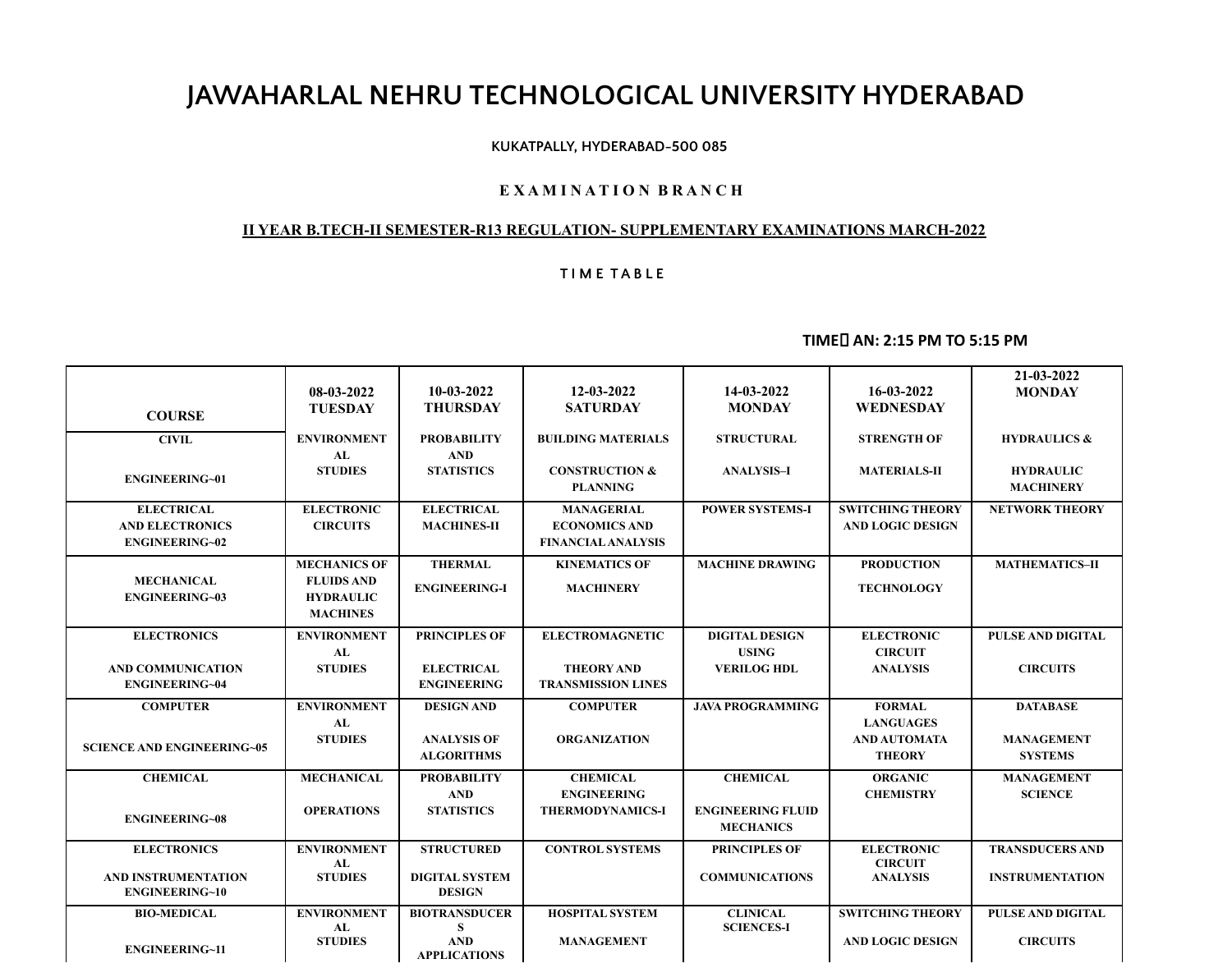# **JAWAHARLAL NEHRU TECHNOLOGICAL UNIVERSITY HYDERABAD**

#### **KUKATPALLY, HYDERABAD-500 085**

### **E X A M I N A T I O N B R A N C H**

## **II YEAR B.TECH-II SEMESTER-R13 REGULATION- SUPPLEMENTARY EXAMINATIONS MARCH-2022**

## **T I M E T A B L E**

# **TIME AN: 2:15 PM TO 5:15 PM**

| <b>COURSE</b>                                                        | 08-03-2022<br><b>TUESDAY</b>                                                    | $10-03-2022$<br><b>THURSDAY</b>         | 12-03-2022<br><b>SATURDAY</b>                                          | 14-03-2022<br><b>MONDAY</b>                  | 16-03-2022<br><b>WEDNESDAY</b>                     | 21-03-2022<br><b>MONDAY</b>          |
|----------------------------------------------------------------------|---------------------------------------------------------------------------------|-----------------------------------------|------------------------------------------------------------------------|----------------------------------------------|----------------------------------------------------|--------------------------------------|
| <b>CIVIL</b>                                                         | <b>ENVIRONMENT</b><br>AL                                                        | <b>PROBABILITY</b><br><b>AND</b>        | <b>BUILDING MATERIALS</b>                                              | <b>STRUCTURAL</b>                            | <b>STRENGTH OF</b>                                 | <b>HYDRAULICS &amp;</b>              |
| <b>ENGINEERING~01</b>                                                | <b>STUDIES</b>                                                                  | <b>STATISTICS</b>                       | <b>CONSTRUCTION &amp;</b><br><b>PLANNING</b>                           | <b>ANALYSIS-I</b>                            | <b>MATERIALS-II</b>                                | <b>HYDRAULIC</b><br><b>MACHINERY</b> |
| <b>ELECTRICAL</b><br><b>AND ELECTRONICS</b><br><b>ENGINEERING~02</b> | <b>ELECTRONIC</b><br><b>CIRCUITS</b>                                            | <b>ELECTRICAL</b><br><b>MACHINES-II</b> | <b>MANAGERIAL</b><br><b>ECONOMICS AND</b><br><b>FINANCIAL ANALYSIS</b> | <b>POWER SYSTEMS-I</b>                       | <b>SWITCHING THEORY</b><br><b>AND LOGIC DESIGN</b> | <b>NETWORK THEORY</b>                |
| <b>MECHANICAL</b><br><b>ENGINEERING~03</b>                           | <b>MECHANICS OF</b><br><b>FLUIDS AND</b><br><b>HYDRAULIC</b><br><b>MACHINES</b> | <b>THERMAL</b><br><b>ENGINEERING-I</b>  | <b>KINEMATICS OF</b><br><b>MACHINERY</b>                               | <b>MACHINE DRAWING</b>                       | <b>PRODUCTION</b><br><b>TECHNOLOGY</b>             | <b>MATHEMATICS-II</b>                |
| <b>ELECTRONICS</b>                                                   | <b>ENVIRONMENT</b><br>AL                                                        | <b>PRINCIPLES OF</b>                    | <b>ELECTROMAGNETIC</b>                                                 | <b>DIGITAL DESIGN</b><br><b>USING</b>        | <b>ELECTRONIC</b><br><b>CIRCUIT</b>                | PULSE AND DIGITAL                    |
| <b>AND COMMUNICATION</b><br><b>ENGINEERING~04</b>                    | <b>STUDIES</b>                                                                  | <b>ELECTRICAL</b><br><b>ENGINEERING</b> | <b>THEORY AND</b><br><b>TRANSMISSION LINES</b>                         | <b>VERILOG HDL</b>                           | <b>ANALYSIS</b>                                    | <b>CIRCUITS</b>                      |
| <b>COMPUTER</b>                                                      | <b>ENVIRONMENT</b><br>AL                                                        | <b>DESIGN AND</b>                       | <b>COMPUTER</b>                                                        | <b>JAVA PROGRAMMING</b>                      | <b>FORMAL</b><br><b>LANGUAGES</b>                  | <b>DATABASE</b>                      |
| <b>SCIENCE AND ENGINEERING~05</b>                                    | <b>STUDIES</b>                                                                  | <b>ANALYSIS OF</b><br><b>ALGORITHMS</b> | <b>ORGANIZATION</b>                                                    |                                              | <b>AND AUTOMATA</b><br><b>THEORY</b>               | <b>MANAGEMENT</b><br><b>SYSTEMS</b>  |
| <b>CHEMICAL</b>                                                      | <b>MECHANICAL</b>                                                               | <b>PROBABILITY</b><br><b>AND</b>        | <b>CHEMICAL</b><br><b>ENGINEERING</b>                                  | <b>CHEMICAL</b>                              | <b>ORGANIC</b><br><b>CHEMISTRY</b>                 | <b>MANAGEMENT</b><br><b>SCIENCE</b>  |
| <b>ENGINEERING~08</b>                                                | <b>OPERATIONS</b>                                                               | <b>STATISTICS</b>                       | <b>THERMODYNAMICS-I</b>                                                | <b>ENGINEERING FLUID</b><br><b>MECHANICS</b> |                                                    |                                      |
| <b>ELECTRONICS</b>                                                   | <b>ENVIRONMENT</b><br>AL                                                        | <b>STRUCTURED</b>                       | <b>CONTROL SYSTEMS</b>                                                 | <b>PRINCIPLES OF</b>                         | <b>ELECTRONIC</b><br><b>CIRCUIT</b>                | <b>TRANSDUCERS AND</b>               |
| AND INSTRUMENTATION<br><b>ENGINEERING~10</b>                         | <b>STUDIES</b>                                                                  | <b>DIGITAL SYSTEM</b><br><b>DESIGN</b>  |                                                                        | <b>COMMUNICATIONS</b>                        | <b>ANALYSIS</b>                                    | <b>INSTRUMENTATION</b>               |
| <b>BIO-MEDICAL</b>                                                   | <b>ENVIRONMENT</b><br>AL                                                        | <b>BIOTRANSDUCER</b><br>S.              | <b>HOSPITAL SYSTEM</b>                                                 | <b>CLINICAL</b><br><b>SCIENCES-I</b>         | <b>SWITCHING THEORY</b>                            | <b>PULSE AND DIGITAL</b>             |
| <b>ENGINEERING~11</b>                                                | <b>STUDIES</b>                                                                  | <b>AND</b><br><b>APPLICATIONS</b>       | <b>MANAGEMENT</b>                                                      |                                              | <b>AND LOGIC DESIGN</b>                            | <b>CIRCUITS</b>                      |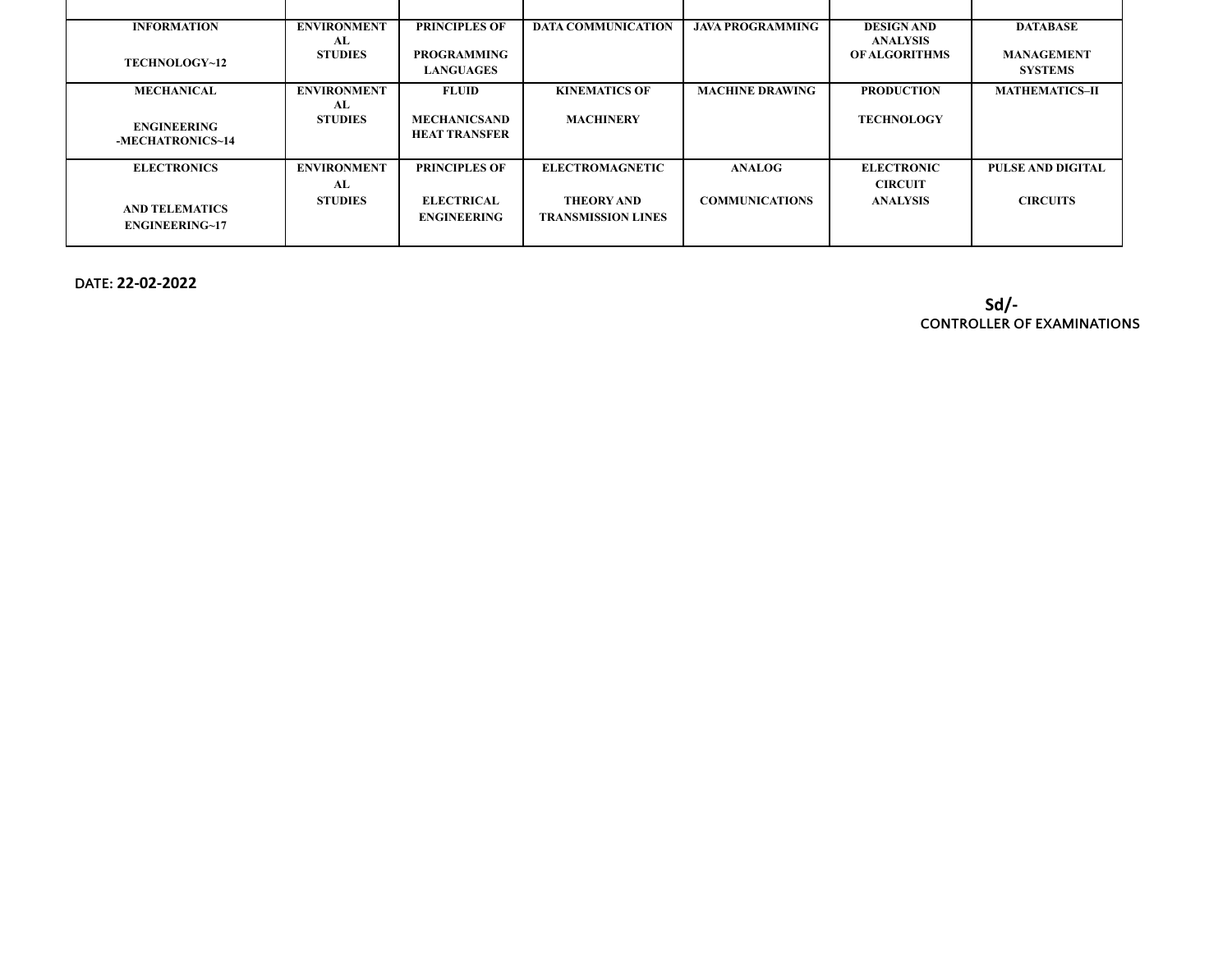| <b>INFORMATION</b>                             | <b>ENVIRONMENT</b><br>AL | <b>PRINCIPLES OF</b>                        | <b>DATA COMMUNICATION</b>                      | <b>JAVA PROGRAMMING</b> | <b>DESIGN AND</b><br><b>ANALYSIS</b> | <b>DATABASE</b>                     |
|------------------------------------------------|--------------------------|---------------------------------------------|------------------------------------------------|-------------------------|--------------------------------------|-------------------------------------|
| TECHNOLOGY~12                                  | <b>STUDIES</b>           | <b>PROGRAMMING</b><br><b>LANGUAGES</b>      |                                                |                         | <b>OF ALGORITHMS</b>                 | <b>MANAGEMENT</b><br><b>SYSTEMS</b> |
| <b>MECHANICAL</b>                              | <b>ENVIRONMENT</b><br>AL | <b>FLUID</b>                                | <b>KINEMATICS OF</b>                           | <b>MACHINE DRAWING</b>  | <b>PRODUCTION</b>                    | <b>MATHEMATICS-II</b>               |
| <b>ENGINEERING</b><br>-MECHATRONICS~14         | <b>STUDIES</b>           | <b>MECHANICSAND</b><br><b>HEAT TRANSFER</b> | <b>MACHINERY</b>                               |                         | <b>TECHNOLOGY</b>                    |                                     |
| <b>ELECTRONICS</b>                             | <b>ENVIRONMENT</b><br>AL | <b>PRINCIPLES OF</b>                        | <b>ELECTROMAGNETIC</b>                         | <b>ANALOG</b>           | <b>ELECTRONIC</b><br><b>CIRCUIT</b>  | PULSE AND DIGITAL                   |
| <b>AND TELEMATICS</b><br><b>ENGINEERING~17</b> | <b>STUDIES</b>           | <b>ELECTRICAL</b><br><b>ENGINEERING</b>     | <b>THEORY AND</b><br><b>TRANSMISSION LINES</b> | <b>COMMUNICATIONS</b>   | <b>ANALYSIS</b>                      | <b>CIRCUITS</b>                     |

**DATE: 22-02-2022**

**Sd/- CONTROLLER OF EXAMINATIONS**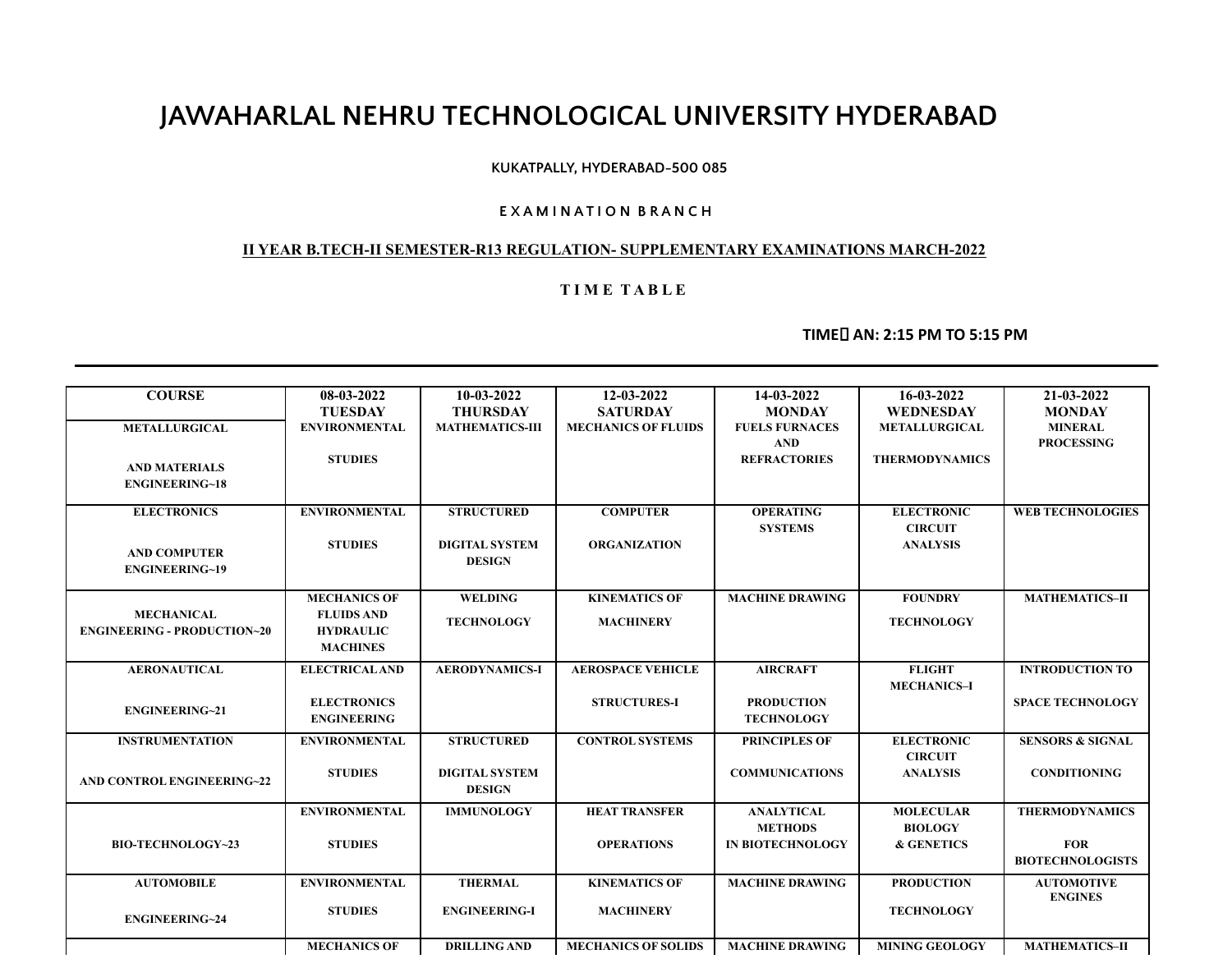# **JAWAHARLAL NEHRU TECHNOLOGICAL UNIVERSITY HYDERABAD**

## **KUKATPALLY, HYDERABAD-500 085**

### **E X A M I N A T I O N B R A N C H**

### **II YEAR B.TECH-II SEMESTER-R13 REGULATION- SUPPLEMENTARY EXAMINATIONS MARCH-2022**

### **T I M E T A B L E**

# **TIME AN: 2:15 PM TO 5:15 PM**

| <b>COURSE</b>                      | 08-03-2022            | $10-03-2022$           | 12-03-2022                 | 14-03-2022              | 16-03-2022            | 21-03-2022                  |
|------------------------------------|-----------------------|------------------------|----------------------------|-------------------------|-----------------------|-----------------------------|
|                                    | <b>TUESDAY</b>        | <b>THURSDAY</b>        | <b>SATURDAY</b>            | <b>MONDAY</b>           | <b>WEDNESDAY</b>      | <b>MONDAY</b>               |
| <b>METALLURGICAL</b>               | <b>ENVIRONMENTAL</b>  | <b>MATHEMATICS-III</b> | <b>MECHANICS OF FLUIDS</b> | <b>FUELS FURNACES</b>   | <b>METALLURGICAL</b>  | <b>MINERAL</b>              |
|                                    |                       |                        |                            | <b>AND</b>              |                       | <b>PROCESSING</b>           |
|                                    | <b>STUDIES</b>        |                        |                            | <b>REFRACTORIES</b>     | <b>THERMODYNAMICS</b> |                             |
| <b>AND MATERIALS</b>               |                       |                        |                            |                         |                       |                             |
| <b>ENGINEERING~18</b>              |                       |                        |                            |                         |                       |                             |
| <b>ELECTRONICS</b>                 | <b>ENVIRONMENTAL</b>  | <b>STRUCTURED</b>      | <b>COMPUTER</b>            | <b>OPERATING</b>        | <b>ELECTRONIC</b>     | <b>WEB TECHNOLOGIES</b>     |
|                                    |                       |                        |                            | <b>SYSTEMS</b>          | <b>CIRCUIT</b>        |                             |
|                                    | <b>STUDIES</b>        | <b>DIGITAL SYSTEM</b>  | <b>ORGANIZATION</b>        |                         | <b>ANALYSIS</b>       |                             |
| <b>AND COMPUTER</b>                |                       | <b>DESIGN</b>          |                            |                         |                       |                             |
| <b>ENGINEERING~19</b>              |                       |                        |                            |                         |                       |                             |
|                                    |                       |                        |                            |                         |                       |                             |
|                                    | <b>MECHANICS OF</b>   | <b>WELDING</b>         | <b>KINEMATICS OF</b>       | <b>MACHINE DRAWING</b>  | <b>FOUNDRY</b>        | <b>MATHEMATICS-II</b>       |
| <b>MECHANICAL</b>                  | <b>FLUIDS AND</b>     | <b>TECHNOLOGY</b>      | <b>MACHINERY</b>           |                         | <b>TECHNOLOGY</b>     |                             |
| <b>ENGINEERING - PRODUCTION~20</b> | <b>HYDRAULIC</b>      |                        |                            |                         |                       |                             |
|                                    | <b>MACHINES</b>       |                        |                            |                         |                       |                             |
| <b>AERONAUTICAL</b>                | <b>ELECTRICAL AND</b> | <b>AERODYNAMICS-I</b>  | <b>AEROSPACE VEHICLE</b>   | <b>AIRCRAFT</b>         | <b>FLIGHT</b>         | <b>INTRODUCTION TO</b>      |
|                                    |                       |                        |                            |                         | <b>MECHANICS-I</b>    |                             |
|                                    | <b>ELECTRONICS</b>    |                        | <b>STRUCTURES-I</b>        | <b>PRODUCTION</b>       |                       | <b>SPACE TECHNOLOGY</b>     |
| <b>ENGINEERING~21</b>              | <b>ENGINEERING</b>    |                        |                            | <b>TECHNOLOGY</b>       |                       |                             |
|                                    |                       |                        |                            |                         |                       |                             |
| <b>INSTRUMENTATION</b>             | <b>ENVIRONMENTAL</b>  | <b>STRUCTURED</b>      | <b>CONTROL SYSTEMS</b>     | <b>PRINCIPLES OF</b>    | <b>ELECTRONIC</b>     | <b>SENSORS &amp; SIGNAL</b> |
|                                    |                       |                        |                            |                         | <b>CIRCUIT</b>        |                             |
| <b>AND CONTROL ENGINEERING~22</b>  | <b>STUDIES</b>        | <b>DIGITAL SYSTEM</b>  |                            | <b>COMMUNICATIONS</b>   | <b>ANALYSIS</b>       | <b>CONDITIONING</b>         |
|                                    |                       | <b>DESIGN</b>          |                            |                         |                       |                             |
|                                    | <b>ENVIRONMENTAL</b>  | <b>IMMUNOLOGY</b>      | <b>HEAT TRANSFER</b>       | <b>ANALYTICAL</b>       | <b>MOLECULAR</b>      | <b>THERMODYNAMICS</b>       |
|                                    |                       |                        |                            | <b>METHODS</b>          | <b>BIOLOGY</b>        |                             |
| <b>BIO-TECHNOLOGY~23</b>           | <b>STUDIES</b>        |                        | <b>OPERATIONS</b>          | <b>IN BIOTECHNOLOGY</b> | & GENETICS            | <b>FOR</b>                  |
|                                    |                       |                        |                            |                         |                       | <b>BIOTECHNOLOGISTS</b>     |
|                                    |                       |                        |                            |                         |                       |                             |
| <b>AUTOMOBILE</b>                  | <b>ENVIRONMENTAL</b>  | <b>THERMAL</b>         | <b>KINEMATICS OF</b>       | <b>MACHINE DRAWING</b>  | <b>PRODUCTION</b>     | <b>AUTOMOTIVE</b>           |
|                                    | <b>STUDIES</b>        | <b>ENGINEERING-I</b>   | <b>MACHINERY</b>           |                         | <b>TECHNOLOGY</b>     | <b>ENGINES</b>              |
| <b>ENGINEERING~24</b>              |                       |                        |                            |                         |                       |                             |
|                                    |                       |                        |                            |                         |                       |                             |
|                                    | <b>MECHANICS OF</b>   | <b>DRILLING AND</b>    | <b>MECHANICS OF SOLIDS</b> | <b>MACHINE DRAWING</b>  | <b>MINING GEOLOGY</b> | <b>MATHEMATICS-II</b>       |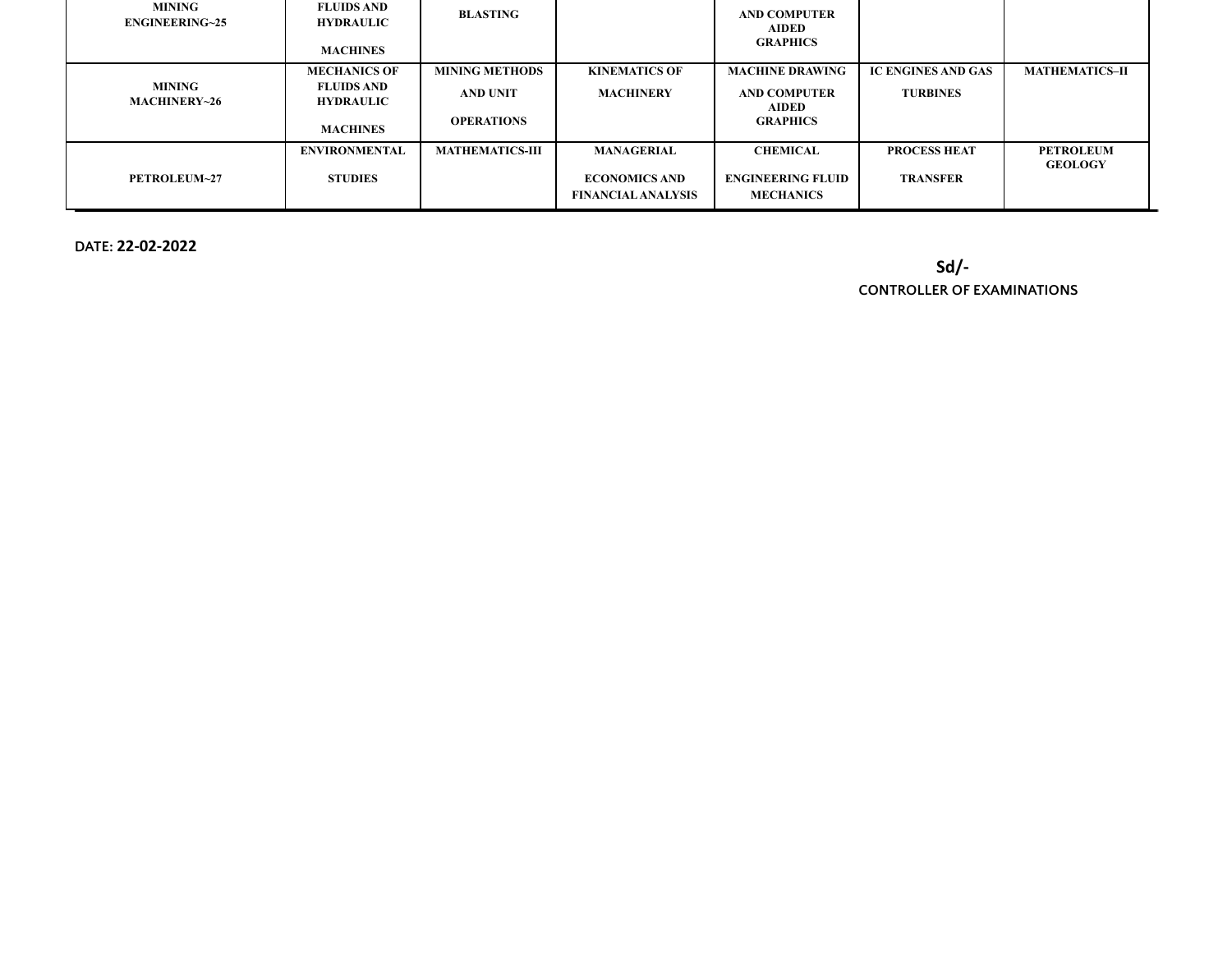| <b>MINING</b><br><b>ENGINEERING~25</b> | <b>FLUIDS AND</b><br><b>HYDRAULIC</b><br><b>MACHINES</b>                        | BLASTING                                                      |                                                                        | AND COMPUTER<br><b>AIDED</b><br><b>GRAPHICS</b>                                  |                                              |                                    |
|----------------------------------------|---------------------------------------------------------------------------------|---------------------------------------------------------------|------------------------------------------------------------------------|----------------------------------------------------------------------------------|----------------------------------------------|------------------------------------|
| MINING<br>MACHINERY~26                 | <b>MECHANICS OF</b><br><b>FLUIDS AND</b><br><b>HYDRAULIC</b><br><b>MACHINES</b> | <b>MINING METHODS</b><br><b>AND UNIT</b><br><b>OPERATIONS</b> | <b>KINEMATICS OF</b><br><b>MACHINERY</b>                               | <b>MACHINE DRAWING</b><br><b>AND COMPUTER</b><br><b>AIDED</b><br><b>GRAPHICS</b> | <b>IC ENGINES AND GAS</b><br><b>TURBINES</b> | <b>MATHEMATICS-II</b>              |
| PETROLEUM~27                           | <b>ENVIRONMENTAL</b><br><b>STUDIES</b>                                          | <b>MATHEMATICS-III</b>                                        | <b>MANAGERIAL</b><br><b>ECONOMICS AND</b><br><b>FINANCIAL ANALYSIS</b> | <b>CHEMICAL</b><br><b>ENGINEERING FLUID</b><br><b>MECHANICS</b>                  | <b>PROCESS HEAT</b><br><b>TRANSFER</b>       | <b>PETROLEUM</b><br><b>GEOLOGY</b> |

**DATE: 22-02-2022**

**Sd/-**

**CONTROLLER OF EXAMINATIONS**